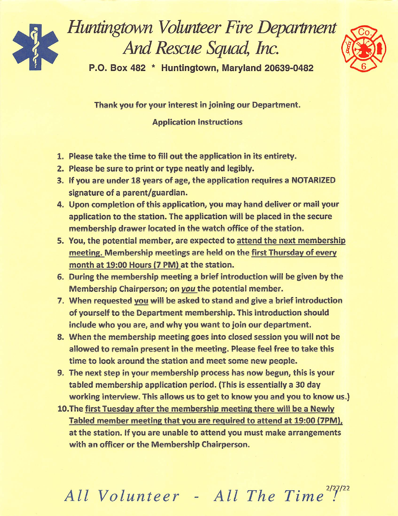

Huntingtown Volunteer Fire Department And Rescue Squad, Inc.



P.O. Box 482 \* Huntingtown, Maryland 20639-0482

Thank you for your interest in joining our Department.

**Application Instructions** 

- 1. Please take the time to fill out the application in its entirety.
- 2. Please be sure to print or type neatly and legibly.
- 3. If you are under 18 years of age, the application requires a NOTARIZED signature of a parent/guardian.
- 4. Upon completion of this application, you may hand deliver or mail your application to the station. The application will be placed in the secure membership drawer located in the watch office of the station.
- 5. You, the potential member, are expected to attend the next membership meeting. Membership meetings are held on the first Thursday of every month at 19:00 Hours (7 PM) at the station.
- 6. During the membership meeting a brief introduction will be given by the Membership Chairperson; on you the potential member.
- 7. When requested you will be asked to stand and give a brief introduction of yourself to the Department membership. This introduction should include who you are, and why you want to join our department.
- 8. When the membership meeting goes into closed session you will not be allowed to remain present in the meeting. Please feel free to take this time to look around the station and meet some new people.
- 9. The next step in your membership process has now begun, this is your tabled membership application period. (This is essentially a 30 day working interview. This allows us to get to know you and you to know us.)
- 10. The first Tuesday after the membership meeting there will be a Newly Tabled member meeting that you are required to attend at 19:00 (7PM), at the station. If you are unable to attend you must make arrangements with an officer or the Membership Chairperson.

All Volunteer - All The Time<sup>2/27/22</sup>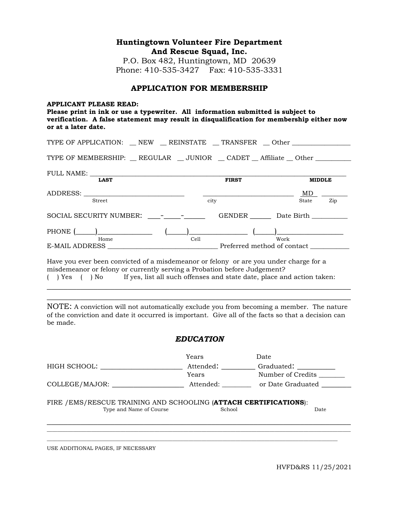# **Huntingtown Volunteer Fire Department And Rescue Squad, Inc.**

P.O. Box 482, Huntingtown, MD 20639 Phone: 410-535-3427 Fax: 410-535-3331

#### **APPLICATION FOR MEMBERSHIP**

#### **APPLICANT PLEASE READ:**

**Please print in ink or use a typewriter. All information submitted is subject to verification. A false statement may result in disqualification for membership either now or at a later date.** 

| TYPE OF APPLICATION: _ NEW _ REINSTATE _ TRANSFER _ Other _______________             |      |                             |      |               |     |
|---------------------------------------------------------------------------------------|------|-----------------------------|------|---------------|-----|
| TYPE OF MEMBERSHIP: REGULAR __ JUNIOR __ CADET __ Affiliate __ Other ___________      |      |                             |      |               |     |
| FULL NAME:<br><b>LAST</b>                                                             |      | <b>FIRST</b>                |      | <b>MIDDLE</b> |     |
| Street                                                                                | city |                             |      | State         | Zip |
|                                                                                       |      | GENDER Date Birth           |      |               |     |
| PHONE $(\_\_\_\_\_\_\$ $(\_\_\_\_\_\_$                                                |      |                             |      |               |     |
| Home                                                                                  | Cell | Preferred method of contact | Work |               |     |
| Have you ever been convicted of a misdemeanor or felony or are you under charge for a |      |                             |      |               |     |

misdemeanor or felony or currently serving a Probation before Judgement? ( ) Yes ( ) No If yes, list all such offenses and state date, place and action taken: \_\_\_\_\_\_\_\_\_\_\_\_\_\_\_\_\_\_\_\_\_\_\_\_\_\_\_\_\_\_\_\_\_\_\_\_\_\_\_\_\_\_\_\_\_\_\_\_\_\_\_\_\_\_\_\_\_\_\_\_\_\_\_\_\_\_\_\_\_\_\_\_

NOTE: A conviction will not automatically exclude you from becoming a member. The nature of the conviction and date it occurred is important. Give all of the facts so that a decision can be made.

\_\_\_\_\_\_\_\_\_\_\_\_\_\_\_\_\_\_\_\_\_\_\_\_\_\_\_\_\_\_\_\_\_\_\_\_\_\_\_\_\_\_\_\_\_\_\_\_\_\_\_\_\_\_\_\_\_\_\_\_\_\_\_\_\_\_\_\_\_\_\_\_

### *EDUCATION*

|                                                                                              | Years                        | Date                            |  |  |
|----------------------------------------------------------------------------------------------|------------------------------|---------------------------------|--|--|
| HIGH SCHOOL: THIGH SCHOOL:                                                                   | Attended: _________<br>Years | Graduated:<br>Number of Credits |  |  |
| COLLEGE/MAJOR:                                                                               | Attended:                    | or Date Graduated               |  |  |
| FIRE / EMS/RESCUE TRAINING AND SCHOOLING (ATTACH CERTIFICATIONS):<br>Type and Name of Course | School                       | Date                            |  |  |
|                                                                                              |                              |                                 |  |  |

USE ADDITIONAL PAGES, IF NECESSARY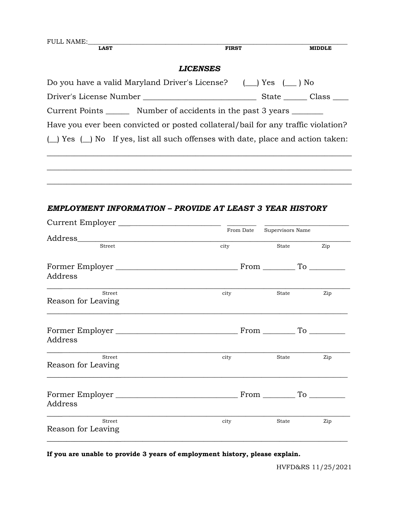| <b>FULL NAME:</b><br><b>LAST</b>                                                       | <b>FIRST</b>    | <b>MIDDLE</b>       |
|----------------------------------------------------------------------------------------|-----------------|---------------------|
|                                                                                        |                 |                     |
|                                                                                        | <b>LICENSES</b> |                     |
| Do you have a valid Maryland Driver's License? $(\_\_\)$ Yes $(\_\_\)$ No              |                 |                     |
|                                                                                        |                 |                     |
| Current Points ________ Number of accidents in the past 3 years _______                |                 |                     |
| Have you ever been convicted or posted collateral/bail for any traffic violation?      |                 |                     |
| $(\_)$ Yes $(\_)$ No If yes, list all such offenses with date, place and action taken: |                 |                     |
|                                                                                        |                 |                     |
|                                                                                        |                 |                     |
|                                                                                        |                 |                     |
|                                                                                        |                 |                     |
| EMPLOYMENT INFORMATION - PROVIDE AT LEAST 3 YEAR HISTORY                               |                 |                     |
| Current Employer                                                                       |                 |                     |
|                                                                                        | From Date       | Supervisors Name    |
| Street                                                                                 | city            | State<br>Zip        |
|                                                                                        |                 |                     |
| Address                                                                                |                 |                     |
| Street                                                                                 | city            | State<br>Zip        |
| Reason for Leaving                                                                     |                 |                     |
|                                                                                        |                 |                     |
|                                                                                        |                 | $From \_\_ To \_\_$ |
| Address                                                                                |                 |                     |
| Street                                                                                 | city            | Zip<br>State        |
| Reason for Leaving                                                                     |                 |                     |
|                                                                                        |                 |                     |
| Address                                                                                |                 |                     |
| Street                                                                                 | city            | State<br>Zip        |
| Reason for Leaving                                                                     |                 |                     |

**If you are unable to provide 3 years of employment history, please explain.**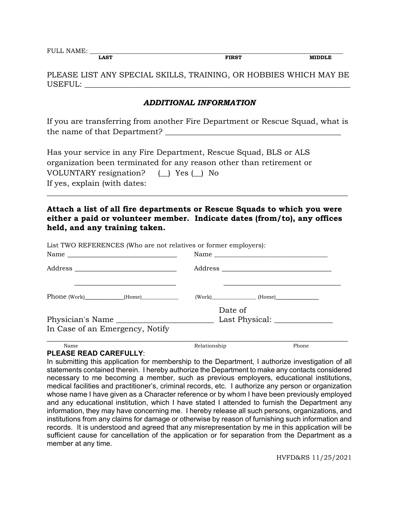FULL NAME:  $\frac{1}{\text{LAST}}$  **EIRST MIDDLE** 

**LAST FIRST MIDDLE**

PLEASE LIST ANY SPECIAL SKILLS, TRAINING, OR HOBBIES WHICH MAY BE USEFUL:

# *ADDITIONAL INFORMATION*

If you are transferring from another Fire Department or Rescue Squad, what is the name of that Department?

Has your service in any Fire Department, Rescue Squad, BLS or ALS organization been terminated for any reason other than retirement or VOLUNTARY resignation? (\_\_) Yes (\_\_) No If yes, explain (with dates:

**Attach a list of all fire departments or Rescue Squads to which you were either a paid or volunteer member. Indicate dates (from/to), any offices held, and any training taken.**

\_\_\_\_\_\_\_\_\_\_\_\_\_\_\_\_\_\_\_\_\_\_\_\_\_\_\_\_\_\_\_\_\_\_\_\_\_\_\_\_\_\_\_\_\_\_\_\_\_\_\_\_\_\_\_\_\_\_\_\_\_\_\_\_\_\_\_\_\_\_\_\_\_\_\_\_\_

List TWO REFERENCES (Who are not relatives or former employers): Name \_\_\_\_\_\_\_\_\_\_\_\_\_\_\_\_\_\_\_\_\_\_\_\_\_\_\_\_ Name \_\_\_\_\_\_\_\_\_\_\_\_\_\_\_\_\_\_\_\_\_\_\_\_\_\_\_\_\_\_\_\_\_\_\_ Address \_\_\_\_\_\_\_\_\_\_\_\_\_\_\_\_\_\_\_\_\_\_\_\_\_\_ Address \_\_\_\_\_\_\_\_\_\_\_\_\_\_\_\_\_\_\_\_\_\_\_\_\_\_\_\_  $\overline{\phantom{a}}$  ,  $\overline{\phantom{a}}$  ,  $\overline{\phantom{a}}$  ,  $\overline{\phantom{a}}$  ,  $\overline{\phantom{a}}$  ,  $\overline{\phantom{a}}$  ,  $\overline{\phantom{a}}$  ,  $\overline{\phantom{a}}$  ,  $\overline{\phantom{a}}$  ,  $\overline{\phantom{a}}$  ,  $\overline{\phantom{a}}$  ,  $\overline{\phantom{a}}$  ,  $\overline{\phantom{a}}$  ,  $\overline{\phantom{a}}$  ,  $\overline{\phantom{a}}$  ,  $\overline{\phantom{a}}$ Phone (Work) (Home) (Work) (Work) (Work) (Home) Date of Physician's Name \_\_\_\_\_\_\_\_\_\_\_\_\_\_\_\_\_\_\_\_\_\_\_\_\_ Last Physical: \_\_\_\_\_\_\_\_\_\_\_\_\_\_\_ In Case of an Emergency, Notify \_\_\_\_\_\_\_\_\_\_\_\_\_\_\_\_\_\_\_\_\_\_\_\_\_\_\_\_\_\_\_\_\_\_\_\_\_\_\_\_\_\_\_\_\_\_\_\_\_\_\_\_\_\_\_\_\_\_\_\_\_\_\_\_\_\_\_\_\_\_\_\_\_\_\_\_\_ Name Relationship Relationship Phone

### **PLEASE READ CAREFULLY**:

In submitting this application for membership to the Department, I authorize investigation of all statements contained therein. I hereby authorize the Department to make any contacts considered necessary to me becoming a member, such as previous employers, educational institutions, medical facilities and practitioner's, criminal records, etc. I authorize any person or organization whose name I have given as a Character reference or by whom I have been previously employed and any educational institution, which I have stated I attended to furnish the Department any information, they may have concerning me. I hereby release all such persons, organizations, and institutions from any claims for damage or otherwise by reason of furnishing such information and records. It is understood and agreed that any misrepresentation by me in this application will be sufficient cause for cancellation of the application or for separation from the Department as a member at any time.